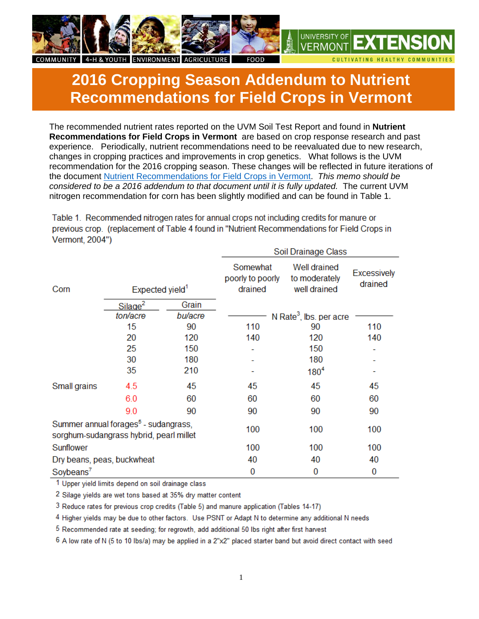

## **2016 Cropping Season Addendum to Nutrient Recommendations for Field Crops in Vermont**

The recommended nutrient rates reported on the UVM Soil Test Report and found in **Nutrient Recommendations for Field Crops in Vermont** are based on crop response research and past experience. Periodically, nutrient recommendations need to be reevaluated due to new research, changes in cropping practices and improvements in crop genetics. What follows is the UVM recommendation for the 2016 cropping season. These changes will be reflected in future iterations of the document Nutrient Recommendations for Field Crops in Vermont. *This memo should be considered to be a 2016 addendum to that document until it is fully updated.* The current UVM nitrogen recommendation for corn has been slightly modified and can be found in Table 1.

Table 1. Recommended nitrogen rates for annual crops not including credits for manure or previous crop. (replacement of Table 4 found in "Nutrient Recommendations for Field Crops in Vermont. 2004")

|                                                                                             |                                 |                  |                                         | Soil Drainage Class                                  |                               |  |
|---------------------------------------------------------------------------------------------|---------------------------------|------------------|-----------------------------------------|------------------------------------------------------|-------------------------------|--|
| Corn                                                                                        | Expected yield <sup>1</sup>     |                  | Somewhat<br>poorly to poorly<br>drained | <b>Well drained</b><br>to moderately<br>well drained | <b>Excessively</b><br>drained |  |
|                                                                                             | Silage <sup>2</sup><br>ton/acre | Grain<br>bu/acre |                                         | N Rate <sup>3</sup> , lbs. per acre                  |                               |  |
|                                                                                             | 15                              | 90               | 110                                     | 90                                                   | 110                           |  |
|                                                                                             | 20                              | 120              | 140                                     | 120                                                  | 140                           |  |
|                                                                                             | 25                              | 150              |                                         | 150                                                  |                               |  |
|                                                                                             | 30                              | 180              |                                         | 180                                                  |                               |  |
|                                                                                             | 35                              | 210              |                                         | $180^{4}$                                            |                               |  |
| Small grains                                                                                | 4.5                             | 45               | 45                                      | 45                                                   | 45                            |  |
|                                                                                             | 6.0                             | 60               | 60                                      | 60                                                   | 60                            |  |
|                                                                                             | 9.0                             | 90               | 90                                      | 90                                                   | 90                            |  |
| Summer annual forages <sup>5</sup> - sudangrass,<br>sorghum-sudangrass hybrid, pearl millet |                                 |                  | 100                                     | 100                                                  | 100                           |  |
| Sunflower                                                                                   |                                 |                  | 100                                     | 100                                                  | 100                           |  |
| Dry beans, peas, buckwheat                                                                  |                                 |                  | 40                                      | 40                                                   | 40                            |  |
| Soybeans <sup>7</sup>                                                                       |                                 |                  | 0                                       | 0                                                    | 0                             |  |

1 Upper yield limits depend on soil drainage class

2 Silage yields are wet tons based at 35% dry matter content

3 Reduce rates for previous crop credits (Table 5) and manure application (Tables 14-17)

4 Higher yields may be due to other factors. Use PSNT or Adapt N to determine any additional N needs

5 Recommended rate at seeding; for regrowth, add additional 50 lbs right after first harvest

6 A low rate of N (5 to 10 lbs/a) may be applied in a 2"x2" placed starter band but avoid direct contact with seed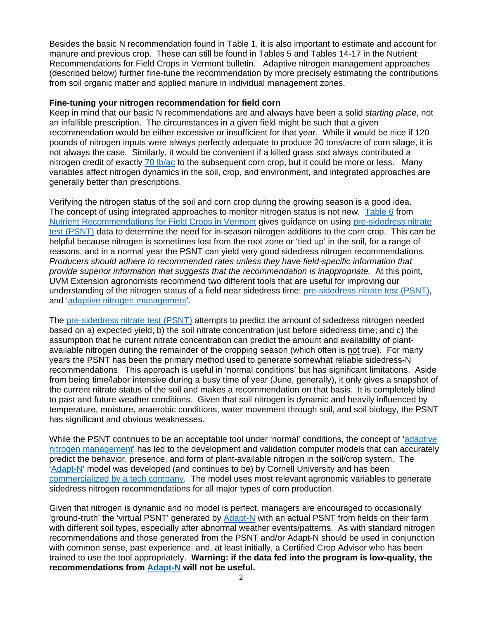Besides the basic N recommendation found in Table 1, it is also important to estimate and account for manure and previous crop. These can still be found in Tables 5 and Tables 14-17 in the Nutrient Recommendations for Field Crops in Vermont bulletin. Adaptive nitrogen management approaches (described below) further fine-tune the recommendation by more precisely estimating the contributions from soil organic matter and applied manure in individual management zones.

## **Fine-tuning your nitrogen recommendation for field corn**

Keep in mind that our basic N recommendations are and always have been a solid *starting place*, not an infallible prescription. The circumstances in a given field might be such that a given recommendation would be either excessive or insufficient for that year. While it would be nice if 120 pounds of nitrogen inputs were always perfectly adequate to produce 20 tons/acre of corn silage, it is not always the case. Similarly, it would be convenient if a killed grass sod always contributed a nitrogen credit of exactly 70 lb/ac to the subsequent corn crop, but it could be more or less. Many variables affect nitrogen dynamics in the soil, crop, and environment, and integrated approaches are generally better than prescriptions.

Verifying the nitrogen status of the soil and corn crop during the growing season is a good idea. The concept of using integrated approaches to monitor nitrogen status is not new. Table 6 from Nutrient Recommendations for Field Crops in Vermont gives guidance on using pre-sidedress nitrate test (PSNT) data to determine the need for in-season nitrogen additions to the corn crop. This can be helpful because nitrogen is sometimes lost from the root zone or 'tied up' in the soil, for a range of reasons, and in a normal year the PSNT can yield very good sidedress nitrogen recommendations. *Producers should adhere to recommended rates unless they have field-specific information that provide superior information that suggests that the recommendation is inappropriate.* At this point, UVM Extension agronomists recommend two different tools that are useful for improving our understanding of the nitrogen status of a field near sidedress time: pre-sidedress nitrate test (PSNT), and 'adaptive nitrogen management'.

The pre-sidedress nitrate test (PSNT) attempts to predict the amount of sidedress nitrogen needed based on a) expected yield; b) the soil nitrate concentration just before sidedress time; and c) the assumption that he current nitrate concentration can predict the amount and availability of plantavailable nitrogen during the remainder of the cropping season (which often is not true). For many years the PSNT has been the primary method used to generate somewhat reliable sidedress-N recommendations. This approach is useful in 'normal conditions' but has significant limitations. Aside from being time/labor intensive during a busy time of year (June, generally), it only gives a snapshot of the current nitrate status of the soil and makes a recommendation on that basis. It is completely blind to past and future weather conditions. Given that soil nitrogen is dynamic and heavily influenced by temperature, moisture, anaerobic conditions, water movement through soil, and soil biology, the PSNT has significant and obvious weaknesses.

While the PSNT continues to be an acceptable tool under 'normal' conditions, the concept of 'adaptive nitrogen management' has led to the development and validation computer models that can accurately predict the behavior, presence, and form of plant-available nitrogen in the soil/crop system. The 'Adapt-N' model was developed (and continues to be) by Cornell University and has been commercialized by a tech company. The model uses most relevant agronomic variables to generate sidedress nitrogen recommendations for all major types of corn production.

Given that nitrogen is dynamic and no model is perfect, managers are encouraged to occasionally 'ground-truth' the 'virtual PSNT' generated by Adapt-N with an actual PSNT from fields on their farm with different soil types, especially after abnormal weather events/patterns. As with standard nitrogen recommendations and those generated from the PSNT and/or Adapt-N should be used in conjunction with common sense, past experience, and, at least initially, a Certified Crop Advisor who has been trained to use the tool appropriately. **Warning: if the data fed into the program is low-quality, the recommendations from Adapt-N will not be useful.**